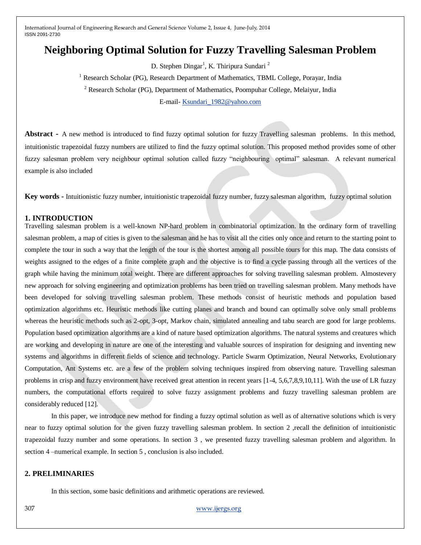# **Neighboring Optimal Solution for Fuzzy Travelling Salesman Problem**

D. Stephen Dingar<sup>1</sup>, K. Thiripura Sundari<sup>2</sup>

<sup>1</sup> Research Scholar (PG), Research Department of Mathematics, TBML College, Porayar, India

<sup>2</sup> Research Scholar (PG), Department of Mathematics, Poompuhar College, Melaiyur, India

E-mail- [Ksundari\\_1982@yahoo.com](mailto:Ksundari_1982@yahoo.com)

**Abstract -** A new method is introduced to find fuzzy optimal solution for fuzzy Travelling salesman problems. In this method, intuitionistic trapezoidal fuzzy numbers are utilized to find the fuzzy optimal solution. This proposed method provides some of other fuzzy salesman problem very neighbour optimal solution called fuzzy "neighbouring optimal" salesman. A relevant numerical example is also included

**Key words -** Intuitionistic fuzzy number, intuitionistic trapezoidal fuzzy number, fuzzy salesman algorithm, fuzzy optimal solution

#### **1. INTRODUCTION**

Travelling salesman problem is a well-known NP-hard problem in combinatorial optimization. In the ordinary form of travelling salesman problem, a map of cities is given to the salesman and he has to visit all the cities only once and return to the starting point to complete the tour in such a way that the length of the tour is the shortest among all possible tours for this map. The data consists of weights assigned to the edges of a finite complete graph and the objective is to find a cycle passing through all the vertices of the graph while having the minimum total weight. There are different approaches for solving travelling salesman problem. Almostevery new approach for solving engineering and optimization problems has been tried on travelling salesman problem. Many methods have been developed for solving travelling salesman problem. These methods consist of heuristic methods and population based optimization algorithms etc. Heuristic methods like cutting planes and branch and bound can optimally solve only small problems whereas the heuristic methods such as 2-opt, 3-opt, Markov chain, simulated annealing and tabu search are good for large problems. Population based optimization algorithms are a kind of nature based optimization algorithms. The natural systems and creatures which are working and developing in nature are one of the interesting and valuable sources of inspiration for designing and inventing new systems and algorithms in different fields of science and technology. Particle Swarm Optimization, Neural Networks, Evolutionary Computation, Ant Systems etc. are a few of the problem solving techniques inspired from observing nature. Travelling salesman problems in crisp and fuzzy environment have received great attention in recent years [1-4, 5,6,7,8,9,10,11]. With the use of LR fuzzy numbers, the computational efforts required to solve fuzzy assignment problems and fuzzy travelling salesman problem are considerably reduced [12].

In this paper, we introduce new method for finding a fuzzy optimal solution as well as of alternative solutions which is very near to fuzzy optimal solution for the given fuzzy travelling salesman problem. In section 2 ,recall the definition of intuitionistic trapezoidal fuzzy number and some operations. In section 3 , we presented fuzzy travelling salesman problem and algorithm. In section 4 –numerical example. In section 5 , conclusion is also included.

### **2. PRELIMINARIES**

In this section, some basic definitions and arithmetic operations are reviewed.

307 [www.ijergs.org](http://www.ijergs.org/)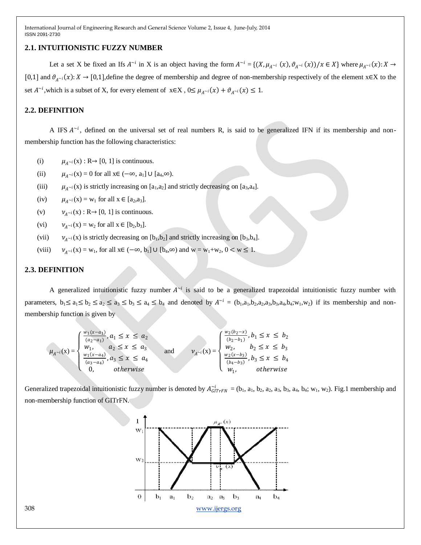#### **2.1. INTUITIONISTIC FUZZY NUMBER**

Let a set X be fixed an Ifs  $A^{-i}$  in X is an object having the form  $A^{-i} = \{(X, \mu_{A^{-i}}(x), \vartheta_{A^{-i}}(x))/x \in X\}$  where  $\mu_{A^{-i}}(x): X \to Y$ [0,1] and  $\vartheta_{A^{\sim i}}(x): X \to [0,1]$ , define the degree of membership and degree of non-membership respectively of the element x∈X to the set  $A^{-i}$ , which is a subset of X, for every element of  $x \in X$ ,  $0 \le \mu_{A^{-i}}(x) + \vartheta_{A^{-i}}(x) \le 1$ .

## **2.2. DEFINITION**

A IFS  $A^{-i}$ , defined on the universal set of real numbers R, is said to be generalized IFN if its membership and nonmembership function has the following characteristics:

- (i)  $\mu_{A^{-i}}(x) : R \to [0, 1]$  is continuous.
- (ii)  $\mu_{A^{\sim i}}(x) = 0$  for all  $x \in (-\infty, a_1] \cup [a_4, \infty)$ .
- (iii)  $\mu_{A\sim i}(x)$  is strictly increasing on [a<sub>1</sub>,a<sub>2</sub>] and strictly decreasing on [a<sub>3</sub>,a<sub>4</sub>].
- $(iv)$  $\mu_{A^{-i}}(x) = w_1$  for all  $x \in [a_2, a_3]$ .
- (v)  $\nu_{A^{-i}}(x)$ : R $\rightarrow$  [0, 1] is continuous.
- (vi)  $v_{A^{-i}}(x) = w_2$  for all  $x \in [b_2, b_3]$ .
- (vii)  $v_{\lambda}$  v<sub>i</sub>(x) is strictly decreasing on [b<sub>1</sub>,b<sub>2</sub>] and strictly increasing on [b<sub>3</sub>,b<sub>4</sub>].
- (viii)  $v_{A^{-i}}(x) = w_1$ , for all  $x \in (-\infty, b_1] \cup [b_4, \infty)$  and  $w = w_1 + w_2$ ,  $0 < w \le 1$ .

### **2.3. DEFINITION**

A generalized intuitionistic fuzzy number  $A^{-i}$  is said to be a generalized trapezoidal intuitionistic fuzzy number with parameters,  $b_1 \le a_1 \le b_2 \le a_2 \le a_3 \le b_3 \le a_4 \le b_4$  and denoted by  $A^{-i} = (b_1, a_1, b_2, a_2, a_3, b_3, a_4, b_4; w_1, w_2)$  if its membership and nonmembership function is given by

$$
\mu_{A^{-i}}(x) = \begin{cases} \frac{w_1(x-a_1)}{(a_2-a_1)}, a_1 \leq x \leq a_2 \\ w_1, & a_2 \leq x \leq a_3 \\ \frac{w_1(x-a_4)}{(a_3-a_4)}, a_3 \leq x \leq a_4 \\ 0, & \text{otherwise} \end{cases} \text{ and } \nu_{A^{-i}}(x) = \begin{cases} \frac{w_2(b_2-x)}{(b_2-b_1)}, b_1 \leq x \leq b_2 \\ w_2, & b_2 \leq x \leq b_3 \\ \frac{w_2(x-b_3)}{(b_4-b_3)}, b_3 \leq x \leq b_4 \\ w_1, & \text{otherwise} \end{cases}
$$

Generalized trapezoidal intuitionistic fuzzy number is denoted by  $A_{GITFRN}^{i} = (b_1, a_1, b_2, a_2, a_3, b_3, a_4, b_4; w_1, w_2)$ . Fig.1 membership and non-membership function of GITrFN.

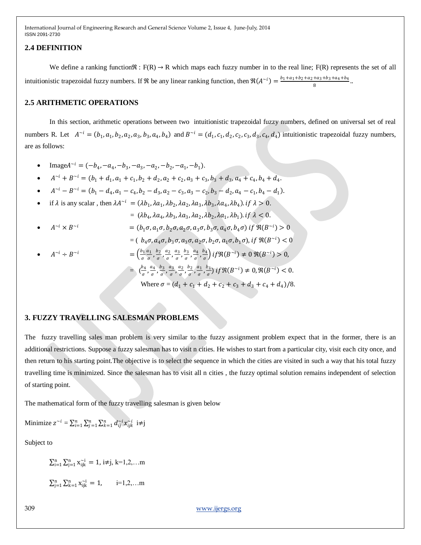#### **2.4 DEFINITION**

We define a ranking function $\Re$ :  $F(R) \rightarrow R$  which maps each fuzzy number in to the real line;  $F(R)$  represents the set of all intuitionistic trapezoidal fuzzy numbers. If  $\Re$  be any linear ranking function, then  $\Re(A^{-i}) = \frac{b_1 + a_1 + b_2 + a_2 + a_3 + b_3 + a_4 + b_4}{2}$  $\frac{a_3 + b_3 + a_4 + b_4}{8}$ ..

### **2.5 ARITHMETIC OPERATIONS**

In this section, arithmetic operations between two intuitionistic trapezoidal fuzzy numbers, defined on universal set of real numbers R. Let  $A^{-i} = (b_1, a_1, b_2, a_2, a_3, b_3, a_4, b_4)$  and  $B^{-i} = (d_1, c_1, d_2, c_2, c_3, d_3, c_4, d_4)$  intuitionistic trapezoidal fuzzy numbers, are as follows:

- Image $A^{-i} = (-b_4, -a_4, -b_3, -a_3, -a_2, -b_2, -a_1, -b_1).$
- $A^{-i} + B^{-i} = (b_1 + d_1, a_1 + c_1, b_2 + d_2, a_2 + c_2, a_3 + c_3, b_3 + d_3, a_4 + c_4, b_4 + d_4.$
- $A^{-i} B^{-i} = (b_1 d_4, a_1 c_4, b_2 d_3, a_2 c_3, a_3 c_2, b_3 d_2, a_4 c_1, b_4 d_1).$
- if  $\lambda$  is any scalar, then  $\lambda A^{-i} = (\lambda b_1, \lambda a_1, \lambda b_2, \lambda a_2, \lambda a_3, \lambda b_3, \lambda a_4, \lambda b_4)$ . if  $\lambda > 0$ .

$$
= (\lambda b_4, \lambda a_4, \lambda b_3, \lambda a_3, \lambda a_2, \lambda b_2, \lambda a_1, \lambda b_1) \text{ if } \lambda < 0.
$$

•  $A^{\sim i} \times B$  $\alpha^{-i} = (b_1 \sigma, a_1 \sigma, b_2 \sigma, a_2 \sigma, a_3 \sigma, b_3 \sigma, a_4 \sigma, b_4 \sigma)$  if  $\Re(B^{-i}) > 0$ 

$$
= (b_4\sigma, a_4\sigma, b_3\sigma, a_3\sigma, a_2\sigma, b_2\sigma, a_1\sigma, b_1\sigma), \text{if } \Re(B^{-i}) < 0
$$

• 
$$
A^{-i} \div B^{-i}
$$
 =  $\left(\frac{b_1 a_1}{\sigma}, \frac{b_2}{\sigma}, \frac{a_2}{\sigma}, \frac{a_3}{\sigma}, \frac{b_3}{\sigma}, \frac{a_4}{\sigma}, \frac{b_4}{\sigma}\right) i f \Re(B^{-i}) \neq 0 \Re(B^{-i}) > 0,$   
 =  $\left(\frac{b_4}{\sigma}, \frac{a_4}{\sigma}, \frac{b_3}{\sigma}, \frac{a_3}{\sigma}, \frac{a_2}{\sigma}, \frac{b_2}{\sigma}, \frac{a_1}{\sigma}, \frac{b_1}{\sigma}\right) i f \Re(B^{-i}) \neq 0, \Re(B^{-i}) < 0.$   
 Where  $\sigma = (d_1 + c_1 + d_2 + c_2 + c_3 + d_3 + c_4 + d_4)/8.$ 

## **3. FUZZY TRAVELLING SALESMAN PROBLEMS**

The fuzzy travelling sales man problem is very similar to the fuzzy assignment problem expect that in the former, there is an additional restrictions. Suppose a fuzzy salesman has to visit n cities. He wishes to start from a particular city, visit each city once, and then return to his starting point.The objective is to select the sequence in which the cities are visited in such a way that his total fuzzy travelling time is minimized. Since the salesman has to visit all n cities , the fuzzy optimal solution remains independent of selection of starting point.

The mathematical form of the fuzzy travelling salesman is given below

Minimize  $z^{-i} = \sum_{i=1}^n \sum_{j=1}^n \sum_{k=1}^n d_{ij}^{i} x_{ijk}^{i}$  i≠j

Subject to

 $\sum_{i=1}^{n} \sum_{j=1}^{n} x_{ijk}^{i} = 1$ , i $\neq j$ , k=1,2,...m  $\sum_{j=1}^{n} \sum_{k=1}^{n} x_{ijk}^{i} = 1, \quad i=1,2,...m$ 

309 [www.ijergs.org](http://www.ijergs.org/)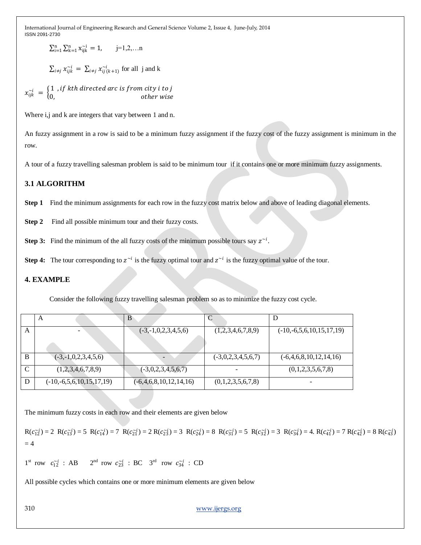$\sum_{i=1}^{n} \sum_{k=1}^{n} x_{ijk}^{\sim i} = 1, \quad j=1,2,...n$ 

 $\sum_{i \neq j} x_{ijk}^{\sim i} = \sum_{i \neq j} x_{ij}^{\sim i} (k+1)$  for all j and k

 $x_{ijk}^{\alpha i} = \begin{cases} 1 \text{ , if } k\text{th directed arc is from city } i \text{ to } j \end{cases}$ 0, by other wise

Where i,j and k are integers that vary between 1 and n.

An fuzzy assignment in a row is said to be a minimum fuzzy assignment if the fuzzy cost of the fuzzy assignment is minimum in the row.

A tour of a fuzzy travelling salesman problem is said to be minimum tour if it contains one or more minimum fuzzy assignments.

# **3.1 ALGORITHM**

**Step 1** Find the minimum assignments for each row in the fuzzy cost matrix below and above of leading diagonal elements.

**Step 2** Find all possible minimum tour and their fuzzy costs.

**Step 3:** Find the minimum of the all fuzzy costs of the minimum possible tours say  $z^{-i}$ .

**Step 4:** The tour corresponding to  $z^{-i}$  is the fuzzy optimal tour and  $z^{-i}$  is the fuzzy optimal value of the tour.

## **4. EXAMPLE**

Consider the following fuzzy travelling salesman problem so as to minimize the fuzzy cost cycle.

|   | A                          | в                               |                      |                            |
|---|----------------------------|---------------------------------|----------------------|----------------------------|
| A |                            | $(-3,-1,0,2,3,4,5,6)$           | (1,2,3,4,6,7,8,9)    | $(-10,-6,5,6,10,15,17,19)$ |
|   |                            |                                 |                      |                            |
| B | $(-3,-1,0,2,3,4,5,6)$      | $\qquad \qquad -$               | $(-3,0,2,3,4,5,6,7)$ | $(-6,4,6,8,10,12,14,16)$   |
|   | (1,2,3,4,6,7,8,9)          | $(-3,0,2,3,4,5,6,7)$            |                      | (0,1,2,3,5,6,7,8)          |
|   | $(-10,-6,5,6,10,15,17,19)$ | $(-6, 4, 6, 8, 10, 12, 14, 16)$ | (0,1,2,3,5,6,7,8)    | -                          |

The minimum fuzzy costs in each row and their elements are given below

 $R(c_{12}^{i}) = 2 R(c_{13}^{i}) = 5 R(c_{14}^{i}) = 7 R(c_{21}^{i}) = 2 R(c_{23}^{i}) = 3 R(c_{24}^{i}) = 8 R(c_{31}^{i}) = 5 R(c_{32}^{i}) = 3 R(c_{34}^{i}) = 4. R(c_{41}^{i}) = 7 R(c_{42}^{i}) = 8 R(c_{43}^{i})$  $= 4$ 

$$
1^{\text{st}}
$$
 row  $c_{12}^{\sim i}$ : AB  $2^{\text{nd}}$  row  $c_{23}^{\sim i}$ : BC  $3^{\text{rd}}$  row  $c_{34}^{\sim i}$ : CD

All possible cycles which contains one or more minimum elements are given below

310 [www.ijergs.org](http://www.ijergs.org/)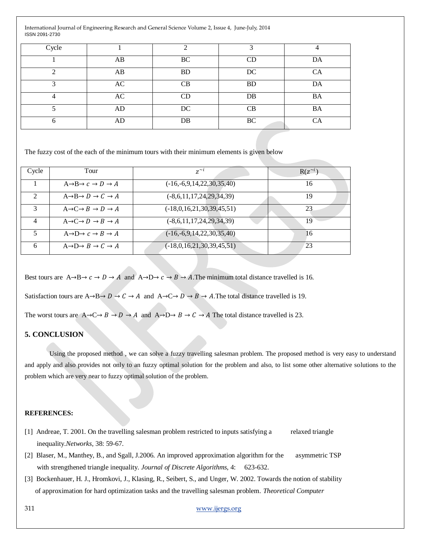| Cycle     |    | ⌒         |           |           |
|-----------|----|-----------|-----------|-----------|
|           | AB | BC        | CD        | DA        |
| ◠         | AB | <b>BD</b> | DC        | <b>CA</b> |
|           | AC | CВ        | <b>BD</b> | DA        |
| $\Lambda$ | AC | CD        | DB        | BA        |
|           | AD | DC        | CB        | <b>BA</b> |
|           | AD | DB        | BC        | CA        |

The fuzzy cost of the each of the minimum tours with their minimum elements is given below

| Cycle          | Tour                                                        | $z^{\sim l}$                | $R(z^{\sim l})$ |
|----------------|-------------------------------------------------------------|-----------------------------|-----------------|
|                | $A \rightarrow B \rightarrow c \rightarrow D \rightarrow A$ | $(-16,-6,9,14,22,30,35,40)$ | 16              |
| $\mathfrak{D}$ | $A \rightarrow B \rightarrow D \rightarrow C \rightarrow A$ | $(-8,6,11,17,24,29,34,39)$  | 19              |
| 3              | $A \rightarrow C \rightarrow B \rightarrow D \rightarrow A$ | $(-18,0,16,21,30,39,45,51)$ | 23              |
| $\Lambda$      | $A\rightarrow C\rightarrow D\rightarrow B\rightarrow A$     | $(-8,6,11,17,24,29,34,39)$  | 19              |
|                | $A\rightarrow D\rightarrow c\rightarrow B\rightarrow A$     | $(-16,-6,9,14,22,30,35,40)$ | 16              |
| 6              | $A\rightarrow D\rightarrow B\rightarrow C\rightarrow A$     | $(-18,0,16,21,30,39,45,51)$ | 23              |

Best tours are  $A \rightarrow B \rightarrow c \rightarrow D \rightarrow A$  and  $A \rightarrow D \rightarrow c \rightarrow B \rightarrow A$ . The minimum total distance travelled is 16. Satisfaction tours are  $A \rightarrow B \rightarrow D \rightarrow C \rightarrow A$  and  $A \rightarrow C \rightarrow D \rightarrow B \rightarrow A$ . The total distance travelled is 19. The worst tours are  $A\rightarrow C\rightarrow B\rightarrow D\rightarrow A$  and  $A\rightarrow D\rightarrow B\rightarrow C\rightarrow A$  The total distance travelled is 23.

## **5. CONCLUSION**

Using the proposed method , we can solve a fuzzy travelling salesman problem. The proposed method is very easy to understand and apply and also provides not only to an fuzzy optimal solution for the problem and also, to list some other alternative solutions to the problem which are very near to fuzzy optimal solution of the problem.

#### **REFERENCES:**

- [1] Andreae, T. 2001. On the travelling salesman problem restricted to inputs satisfying a relaxed triangle inequality.*Networks*, 38: 59-67.
- [2] Blaser, M., Manthey, B., and Sgall, J.2006. An improved approximation algorithm for the asymmetric TSP with strengthened triangle inequality. *Journal of Discrete Algorithms*, 4: 623-632.
- [3] Bockenhauer, H. J., Hromkovi, J., Klasing, R., Seibert, S., and Unger, W. 2002. Towards the notion of stability of approximation for hard optimization tasks and the travelling salesman problem. *Theoretical Computer*